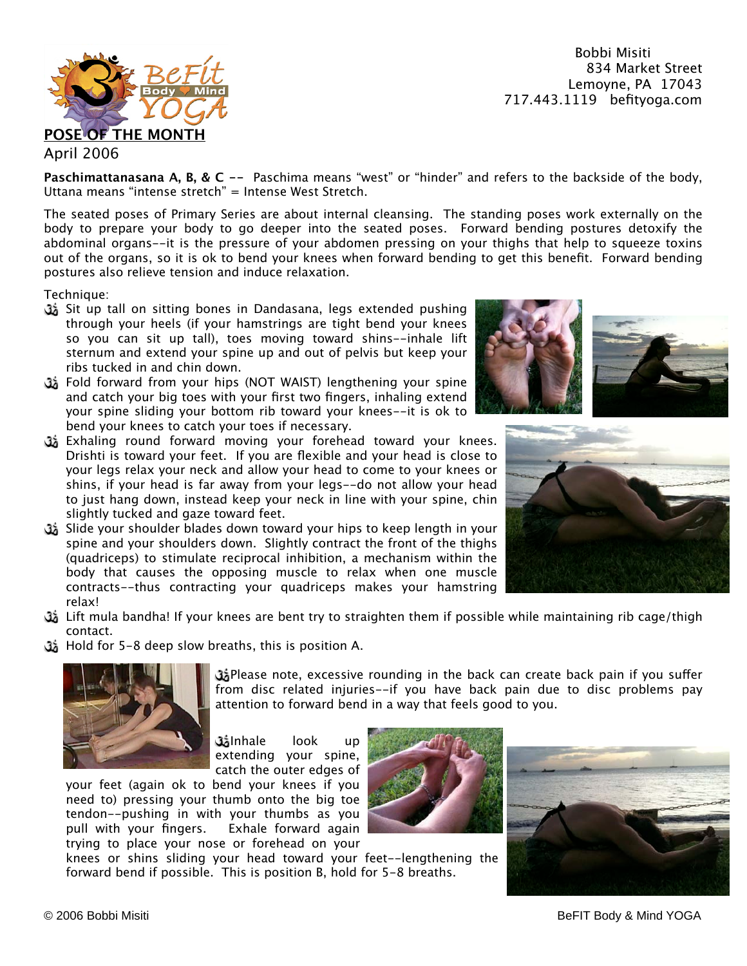Bobbi Misiti 834 Market Street Lemoyne, PA 17043 717.443.1119 befityoga.com



## **Paschimattanasana A, B, & C --** Paschima means "west" or "hinder" and refers to the backside of the body, Uttana means "intense stretch" = Intense West Stretch.

The seated poses of Primary Series are about internal cleansing. The standing poses work externally on the body to prepare your body to go deeper into the seated poses. Forward bending postures detoxify the abdominal organs--it is the pressure of your abdomen pressing on your thighs that help to squeeze toxins out of the organs, so it is ok to bend your knees when forward bending to get this benefit. Forward bending postures also relieve tension and induce relaxation.

Technique:

- Sit up tall on sitting bones in Dandasana, legs extended pushing through your heels (if your hamstrings are tight bend your knees so you can sit up tall), toes moving toward shins--inhale lift sternum and extend your spine up and out of pelvis but keep your ribs tucked in and chin down.
- Fold forward from your hips (NOT WAIST) lengthening your spine and catch your big toes with your first two fingers, inhaling extend your spine sliding your bottom rib toward your knees--it is ok to bend your knees to catch your toes if necessary.
- Exhaling round forward moving your forehead toward your knees. Drishti is toward your feet. If you are flexible and your head is close to your legs relax your neck and allow your head to come to your knees or shins, if your head is far away from your legs--do not allow your head to just hang down, instead keep your neck in line with your spine, chin slightly tucked and gaze toward feet.
- Slide your shoulder blades down toward your hips to keep length in your spine and your shoulders down. Slightly contract the front of the thighs (quadriceps) to stimulate reciprocal inhibition, a mechanism within the body that causes the opposing muscle to relax when one muscle contracts--thus contracting your quadriceps makes your hamstring relax!
- ثل Lift mula bandha! If your knees are bent try to straighten them if possible while maintaining rib cage/thigh contact.
- Hold for 5-8 deep slow breaths, this is position A.



وَّتْ Please note, excessive rounding in the back can create back pain if you suffer from disc related injuries--if you have back pain due to disc problems pay attention to forward bend in a way that feels good to you.

Inhale look up extending your spine, catch the outer edges of

your feet (again ok to bend your knees if you need to) pressing your thumb onto the big toe tendon--pushing in with your thumbs as you pull with your fingers. Exhale forward again trying to place your nose or forehead on your

knees or shins sliding your head toward your feet--lengthening the forward bend if possible. This is position B, hold for 5-8 breaths.





© 2006 Bobbi Misiti BeFIT Body & Mind YOGA